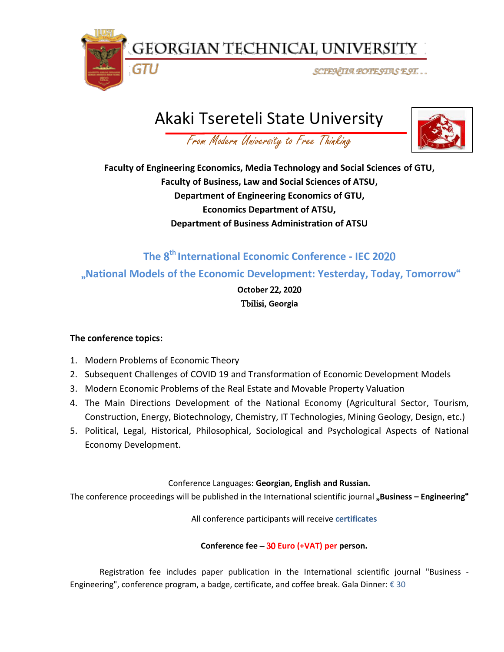GEORGIAN TECHNICAL UNIVERSITY

SCIENTIA POTESTAS EST. . .

# Akaki Tsereteli State University



From Modern University to Free Thinking

**Faculty of Engineering Economics, Media Technology and Social Sciences of GTU, Faculty of Business, Law and Social Sciences of ATSU, Department of Engineering Economics of GTU, Economics Department of ATSU, Department of Business Administration of ATSU**

# **The** 8 **th International Economic Conference - IEC 20**20 "**National Models of the Economic Development: Yesterday, Today, Tomorrow**"

**October** 22**, 20**20 Tbilisi, **Georgia** 

# **The conference topics:**

1. Modern Problems of Economic Theory

GTU

- 2. Subsequent Challenges of COVID 19 and Transformation of Economic Development Models
- 3. Modern Economic Problems of the Real Estate and Movable Property Valuation
- 4. The Main Directions Development of the National Economy (Agricultural Sector, Tourism, Construction, Energy, Biotechnology, Chemistry, IT Technologies, Mining Geology, Design, etc.)
- 5. Political, Legal, Historical, Philosophical, Sociological and Psychological Aspects of National Economy Development.

## Conference Languages: **Georgian, English and Russian.**

The conference proceedings will be published in the International scientific journal "**Business – Engineering**"

All conference participants will receive **certificates**

## **Conference fee** – 30 **Euro (+VAT) per person.**

Registration fee includes paper publication in the International scientific journal "Business - Engineering", conference program, a badge, certificate, and coffee break. Gala Dinner: € 30